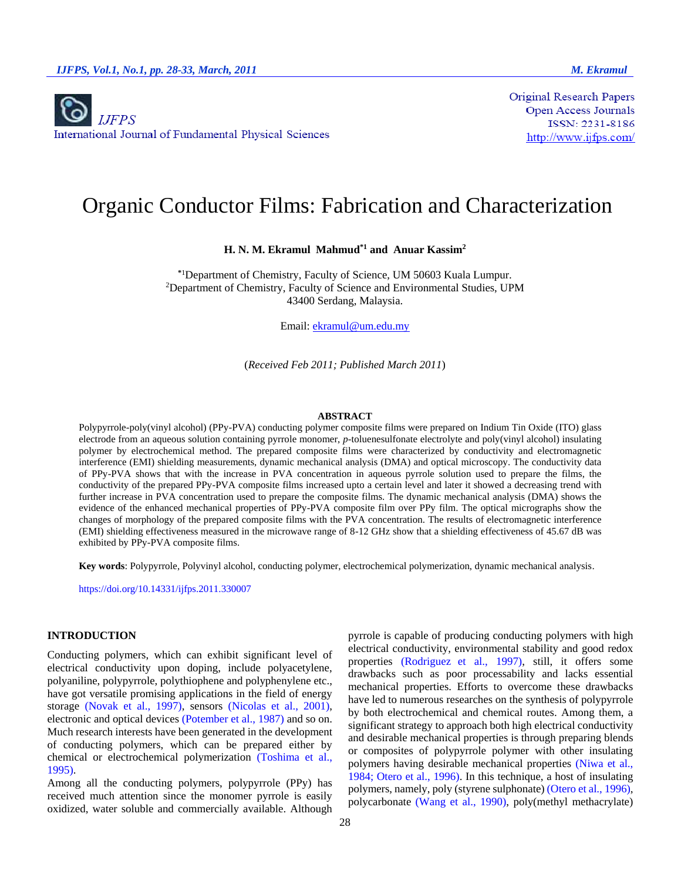**Original Research Papers** Open Access Journals ISSN: 2231-8186  $\frac{http://www.ijfps.com/}{$ 

# Organic Conductor Films: Fabrication and Characterization

**H. N. M. Ekramul Mahmud\*1 and Anuar Kassim<sup>2</sup>**

**\***<sup>1</sup>Department of Chemistry, Faculty of Science, UM 50603 Kuala Lumpur. <sup>2</sup>Department of Chemistry, Faculty of Science and Environmental Studies, UPM 43400 Serdang, Malaysia.

Email: [ekramul@um.edu.my](mailto:ekramul@um.edu.my)

(*Received Feb 2011; Published March 2011*)

#### **ABSTRACT**

Polypyrrole-poly(vinyl alcohol) (PPy-PVA) conducting polymer composite films were prepared on Indium Tin Oxide (ITO) glass electrode from an aqueous solution containing pyrrole monomer, *p*-toluenesulfonate electrolyte and poly(vinyl alcohol) insulating polymer by electrochemical method. The prepared composite films were characterized by conductivity and electromagnetic interference (EMI) shielding measurements, dynamic mechanical analysis (DMA) and optical microscopy. The conductivity data of PPy-PVA shows that with the increase in PVA concentration in aqueous pyrrole solution used to prepare the films, the conductivity of the prepared PPy-PVA composite films increased upto a certain level and later it showed a decreasing trend with further increase in PVA concentration used to prepare the composite films. The dynamic mechanical analysis (DMA) shows the evidence of the enhanced mechanical properties of PPy-PVA composite film over PPy film. The optical micrographs show the changes of morphology of the prepared composite films with the PVA concentration. The results of electromagnetic interference (EMI) shielding effectiveness measured in the microwave range of 8-12 GHz show that a shielding effectiveness of 45.67 dB was exhibited by PPy-PVA composite films.

**Key words**: Polypyrrole, Polyvinyl alcohol, conducting polymer, electrochemical polymerization, dynamic mechanical analysis.

https://doi.org/10.14331/ijfps.2011.330007

## **INTRODUCTION**

Conducting polymers, which can exhibit significant level of electrical conductivity upon doping, include polyacetylene, polyaniline, polypyrrole, polythiophene and polyphenylene etc., have got versatile promising applications in the field of energy storage (Novak et al., 1997), sensors (Nicolas et al., 2001), electronic and optical devices (Potember et al., 1987) and so on. Much research interests have been generated in the development of conducting polymers, which can be prepared either by chemical or electrochemical polymerization (Toshima et al., 1995).

Among all the conducting polymers, polypyrrole (PPy) has received much attention since the monomer pyrrole is easily oxidized, water soluble and commercially available. Although

pyrrole is capable of producing conducting polymers with high electrical conductivity, environmental stability and good redox properties (Rodriguez et al., 1997), still, it offers some drawbacks such as poor processability and lacks essential mechanical properties. Efforts to overcome these drawbacks have led to numerous researches on the synthesis of polypyrrole by both electrochemical and chemical routes. Among them, a significant strategy to approach both high electrical conductivity and desirable mechanical properties is through preparing blends or composites of polypyrrole polymer with other insulating polymers having desirable mechanical properties (Niwa et al., 1984; Otero et al., 1996). In this technique, a host of insulating polymers, namely, poly (styrene sulphonate) (Otero et al., 1996), polycarbonate (Wang et al., 1990), poly(methyl methacrylate)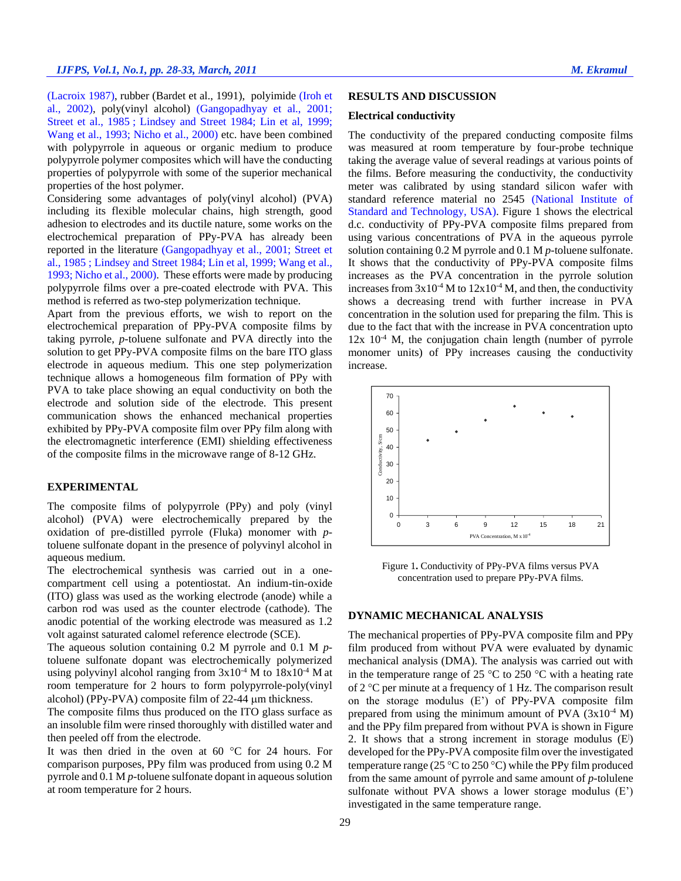(Lacroix 1987), rubber (Bardet et al., 1991), polyimide (Iroh et al., 2002), poly(vinyl alcohol) (Gangopadhyay et al., 2001; Street et al., 1985 ; Lindsey and Street 1984; Lin et al, 1999; Wang et al., 1993; Nicho et al., 2000) etc. have been combined with polypyrrole in aqueous or organic medium to produce polypyrrole polymer composites which will have the conducting properties of polypyrrole with some of the superior mechanical properties of the host polymer.

Considering some advantages of poly(vinyl alcohol) (PVA) including its flexible molecular chains, high strength, good adhesion to electrodes and its ductile nature, some works on the electrochemical preparation of PPy-PVA has already been reported in the literature (Gangopadhyay et al., 2001; Street et al., 1985 ; Lindsey and Street 1984; Lin et al, 1999; Wang et al., 1993; Nicho et al., 2000). These efforts were made by producing polypyrrole films over a pre-coated electrode with PVA. This method is referred as two-step polymerization technique.

Apart from the previous efforts, we wish to report on the electrochemical preparation of PPy-PVA composite films by taking pyrrole, *p-*toluene sulfonate and PVA directly into the solution to get PPy-PVA composite films on the bare ITO glass electrode in aqueous medium. This one step polymerization technique allows a homogeneous film formation of PPy with PVA to take place showing an equal conductivity on both the electrode and solution side of the electrode. This present communication shows the enhanced mechanical properties exhibited by PPy-PVA composite film over PPy film along with the electromagnetic interference (EMI) shielding effectiveness of the composite films in the microwave range of 8-12 GHz.

#### **EXPERIMENTAL**

The composite films of polypyrrole (PPy) and poly (vinyl alcohol) (PVA) were electrochemically prepared by the oxidation of pre-distilled pyrrole (Fluka) monomer with *p*toluene sulfonate dopant in the presence of polyvinyl alcohol in aqueous medium.

The electrochemical synthesis was carried out in a onecompartment cell using a potentiostat. An indium-tin-oxide (ITO) glass was used as the working electrode (anode) while a carbon rod was used as the counter electrode (cathode). The anodic potential of the working electrode was measured as 1.2 volt against saturated calomel reference electrode (SCE).

The aqueous solution containing 0.2 M pyrrole and 0.1 M *p*toluene sulfonate dopant was electrochemically polymerized using polyvinyl alcohol ranging from  $3x10^{-4}$  M to  $18x10^{-4}$  M at room temperature for 2 hours to form polypyrrole-poly(vinyl alcohol) (PPy-PVA) composite film of 22-44 µm thickness.

The composite films thus produced on the ITO glass surface as an insoluble film were rinsed thoroughly with distilled water and then peeled off from the electrode.

It was then dried in the oven at 60  $\degree$ C for 24 hours. For comparison purposes, PPy film was produced from using 0.2 M pyrrole and 0.1 M *p-*toluene sulfonate dopant in aqueous solution at room temperature for 2 hours.

## **RESULTS AND DISCUSSION**

## **Electrical conductivity**

The conductivity of the prepared conducting composite films was measured at room temperature by four-probe technique taking the average value of several readings at various points of the films. Before measuring the conductivity, the conductivity meter was calibrated by using standard silicon wafer with standard reference material no 2545 (National Institute of Standard and Technology, USA). Figure 1 shows the electrical d.c. conductivity of PPy-PVA composite films prepared from using various concentrations of PVA in the aqueous pyrrole solution containing 0.2 M pyrrole and 0.1 M *p-*toluene sulfonate. It shows that the conductivity of PPy-PVA composite films increases as the PVA concentration in the pyrrole solution increases from  $3x10^{-4}$  M to  $12x10^{-4}$  M, and then, the conductivity shows a decreasing trend with further increase in PVA concentration in the solution used for preparing the film. This is due to the fact that with the increase in PVA concentration upto  $12x$   $10<sup>-4</sup>$  M, the conjugation chain length (number of pyrrole monomer units) of PPy increases causing the conductivity increase.



Figure 1**.** Conductivity of PPy-PVA films versus PVA concentration used to prepare PPy-PVA films.

## **DYNAMIC MECHANICAL ANALYSIS**

The mechanical properties of PPy-PVA composite film and PPy film produced from without PVA were evaluated by dynamic mechanical analysis (DMA). The analysis was carried out with in the temperature range of 25  $\degree$ C to 250  $\degree$ C with a heating rate of 2  $\degree$ C per minute at a frequency of 1 Hz. The comparison result on the storage modulus (E') of PPy-PVA composite film prepared from using the minimum amount of PVA  $(3x10^{-4} M)$ and the PPy film prepared from without PVA is shown in Figure 2. It shows that a strong increment in storage modulus  $(E)$ developed for the PPy-PVA composite film over the investigated temperature range (25 °C to 250 °C) while the PPy film produced from the same amount of pyrrole and same amount of *p-*tolulene sulfonate without PVA shows a lower storage modulus (E') investigated in the same temperature range.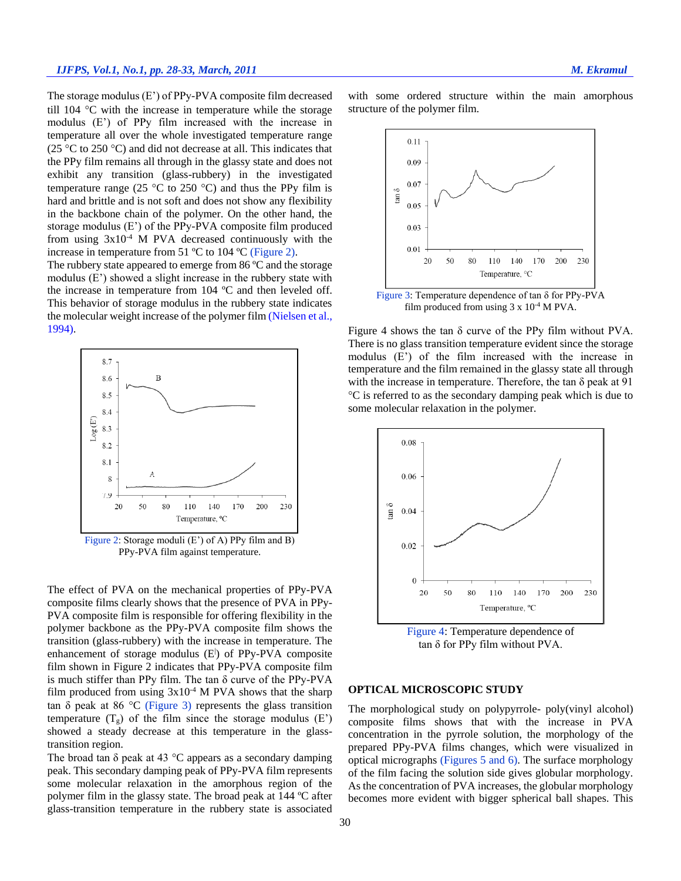The storage modulus (E') of PPy-PVA composite film decreased till  $104 \text{ °C}$  with the increase in temperature while the storage modulus (E') of PPy film increased with the increase in temperature all over the whole investigated temperature range (25 °C to 250 °C) and did not decrease at all. This indicates that the PPy film remains all through in the glassy state and does not exhibit any transition (glass-rubbery) in the investigated temperature range (25  $\degree$ C to 250  $\degree$ C) and thus the PPy film is hard and brittle and is not soft and does not show any flexibility in the backbone chain of the polymer. On the other hand, the storage modulus (E') of the PPy-PVA composite film produced from using 3x10-4 M PVA decreased continuously with the increase in temperature from 51 ºC to 104 ºC (Figure 2).

The rubbery state appeared to emerge from 86 °C and the storage modulus (E') showed a slight increase in the rubbery state with the increase in temperature from 104 ºC and then leveled off. This behavior of storage modulus in the rubbery state indicates the molecular weight increase of the polymer film (Nielsen et al., 1994).



Figure 2: Storage moduli (E') of A) PPy film and B) PPy-PVA film against temperature.

The effect of PVA on the mechanical properties of PPy-PVA composite films clearly shows that the presence of PVA in PPy-PVA composite film is responsible for offering flexibility in the polymer backbone as the PPy-PVA composite film shows the transition (glass-rubbery) with the increase in temperature. The enhancement of storage modulus (E) of PPy-PVA composite film shown in Figure 2 indicates that PPy-PVA composite film is much stiffer than PPy film. The tan δ curve of the PPy-PVA film produced from using  $3x10^{-4}$  M PVA shows that the sharp tan  $\delta$  peak at 86 °C (Figure 3) represents the glass transition temperature  $(T_g)$  of the film since the storage modulus  $(E)$ showed a steady decrease at this temperature in the glasstransition region.

The broad tan  $\delta$  peak at 43 °C appears as a secondary damping peak. This secondary damping peak of PPy-PVA film represents some molecular relaxation in the amorphous region of the polymer film in the glassy state. The broad peak at 144 ºC after glass-transition temperature in the rubbery state is associated with some ordered structure within the main amorphous structure of the polymer film.



Figure 3: Temperature dependence of tan δ for PPy-PVA film produced from using  $3 \times 10^{-4}$  M PVA.

Figure 4 shows the tan δ curve of the PPy film without PVA. There is no glass transition temperature evident since the storage modulus (E') of the film increased with the increase in temperature and the film remained in the glassy state all through with the increase in temperature. Therefore, the tan  $\delta$  peak at  $\overline{91}$ C is referred to as the secondary damping peak which is due to some molecular relaxation in the polymer.





#### **OPTICAL MICROSCOPIC STUDY**

The morphological study on polypyrrole- poly(vinyl alcohol) composite films shows that with the increase in PVA concentration in the pyrrole solution, the morphology of the prepared PPy-PVA films changes, which were visualized in optical micrographs (Figures 5 and 6). The surface morphology of the film facing the solution side gives globular morphology. As the concentration of PVA increases, the globular morphology becomes more evident with bigger spherical ball shapes. This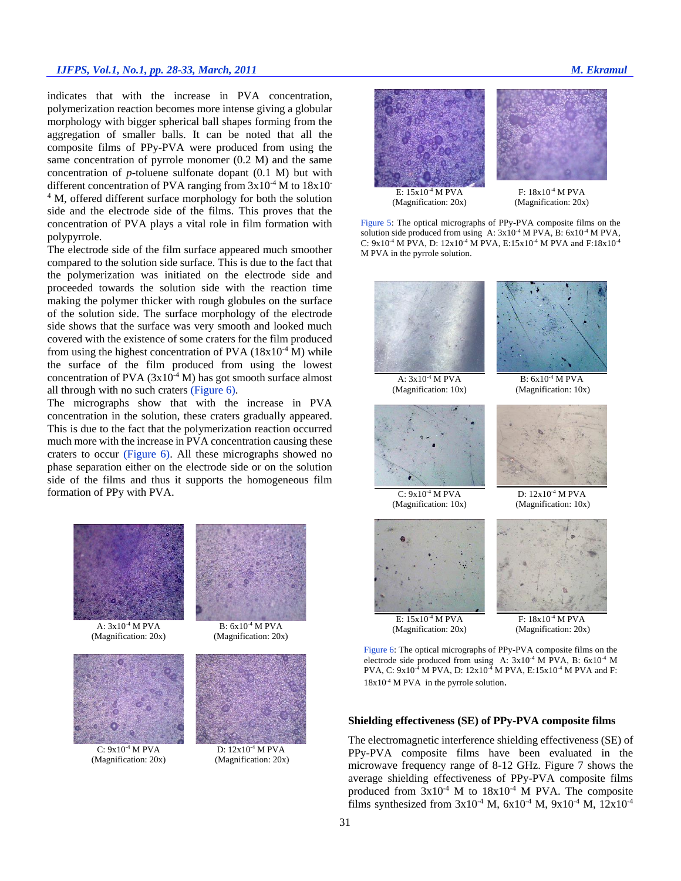## *IJFPS, Vol.1, No.1, pp. 28-33, March, 2011 M. Ekramul*

indicates that with the increase in PVA concentration, polymerization reaction becomes more intense giving a globular morphology with bigger spherical ball shapes forming from the aggregation of smaller balls. It can be noted that all the composite films of PPy-PVA were produced from using the same concentration of pyrrole monomer (0.2 M) and the same concentration of *p-*toluene sulfonate dopant (0.1 M) but with different concentration of PVA ranging from  $3x10^{-4}$  M to  $18x10^{-4}$ <sup>4</sup> M, offered different surface morphology for both the solution side and the electrode side of the films. This proves that the concentration of PVA plays a vital role in film formation with polypyrrole.

The electrode side of the film surface appeared much smoother compared to the solution side surface. This is due to the fact that the polymerization was initiated on the electrode side and proceeded towards the solution side with the reaction time making the polymer thicker with rough globules on the surface of the solution side. The surface morphology of the electrode side shows that the surface was very smooth and looked much covered with the existence of some craters for the film produced from using the highest concentration of PVA  $(18x10^{-4} M)$  while the surface of the film produced from using the lowest concentration of PVA  $(3x10^{-4} M)$  has got smooth surface almost all through with no such craters (Figure 6).

The micrographs show that with the increase in PVA concentration in the solution, these craters gradually appeared. This is due to the fact that the polymerization reaction occurred much more with the increase in PVA concentration causing these craters to occur (Figure 6). All these micrographs showed no phase separation either on the electrode side or on the solution side of the films and thus it supports the homogeneous film formation of PPy with PVA.



A:  $3x10^{-4}$  M PVA (Magnification: 20x)



 $C: 9x10^{-4}$  M PVA (Magnification: 20x)



D: 12x10-4 M PVA (Magnification: 20x)



Figure 5: The optical micrographs of PPy-PVA composite films on the solution side produced from using A:  $3x10^{-4}$  M PVA, B:  $6x10^{-4}$  M PVA, C:  $9x10^{-4}$  M PVA, D:  $12x10^{-4}$  M PVA, E: $15x10^{-4}$  M PVA and F: $18x10^{-4}$ M PVA in the pyrrole solution.



Figure 6: The optical micrographs of PPy-PVA composite films on the electrode side produced from using A:  $3x10^{-4}$  M PVA, B:  $6x10^{-4}$  M PVA, C: 9x10<sup>-4</sup> M PVA, D: 12x10<sup>-4</sup> M PVA, E:15x10<sup>-4</sup> M PVA and F:  $18x10^{-4}$  M PVA in the pyrrole solution.

## **Shielding effectiveness (SE) of PPy-PVA composite films**

The electromagnetic interference shielding effectiveness (SE) of PPy-PVA composite films have been evaluated in the microwave frequency range of 8-12 GHz. Figure 7 shows the average shielding effectiveness of PPy-PVA composite films produced from  $3x10^{-4}$  M to  $18x10^{-4}$  M PVA. The composite films synthesized from  $3x10^{-4}$  M,  $6x10^{-4}$  M,  $9x10^{-4}$  M,  $12x10^{-4}$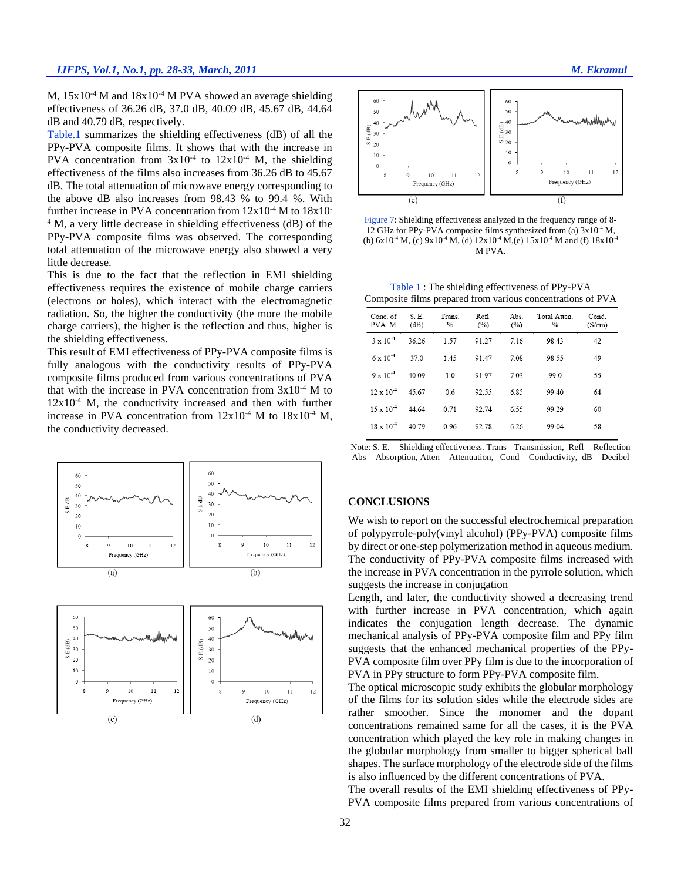M,  $15x10^4$  M and  $18x10^4$  M PVA showed an average shielding effectiveness of 36.26 dB, 37.0 dB, 40.09 dB, 45.67 dB, 44.64 dB and 40.79 dB, respectively.

Table.1 summarizes the shielding effectiveness (dB) of all the PPy-PVA composite films. It shows that with the increase in PVA concentration from  $3x10^{-4}$  to  $12x10^{-4}$  M, the shielding effectiveness of the films also increases from 36.26 dB to 45.67 dB. The total attenuation of microwave energy corresponding to the above dB also increases from 98.43 % to 99.4 %. With further increase in PVA concentration from  $12x10^{-4}$  M to  $18x10^{-4}$ <sup>4</sup> M, a very little decrease in shielding effectiveness (dB) of the PPy-PVA composite films was observed. The corresponding total attenuation of the microwave energy also showed a very little decrease.

This is due to the fact that the reflection in EMI shielding effectiveness requires the existence of mobile charge carriers (electrons or holes), which interact with the electromagnetic radiation. So, the higher the conductivity (the more the mobile charge carriers), the higher is the reflection and thus, higher is the shielding effectiveness.

This result of EMI effectiveness of PPy-PVA composite films is fully analogous with the conductivity results of PPy-PVA composite films produced from various concentrations of PVA that with the increase in PVA concentration from  $3x10^{-4}$  M to  $12x10^{-4}$  M, the conductivity increased and then with further increase in PVA concentration from  $12x10^{-4}$  M to  $18x10^{-4}$  M, the conductivity decreased.





Figure 7: Shielding effectiveness analyzed in the frequency range of 8- 12 GHz for PPy-PVA composite films synthesized from (a)  $3x10^{-4}$  M, (b)  $6x10^4$  M, (c)  $9x10^4$  M, (d)  $12x10^4$  M, (e)  $15x10^4$  M and (f)  $18x10^4$ M PVA.

Table 1 : The shielding effectiveness of PPy-PVA Composite films prepared from various concentrations of PVA

| Conc. of<br>PVA. M  | S.E.<br>(dB) | Trans.<br>$\%$ | Refl.<br>(%) | Abs.<br>(%) | Total Atten.<br>$\frac{0}{0}$ | Cond.<br>(S/cm) |
|---------------------|--------------|----------------|--------------|-------------|-------------------------------|-----------------|
| $3 \times 10^{-4}$  | 36.26        | 1.57           | 91 27        | 716         | 98.43                         | 42              |
| $6 \times 10^{-4}$  | 37.0         | 1.45           | 91.47        | 7.08        | 98.55                         | 49              |
| $9 \times 10^{-4}$  | 40.09        | 1 <sub>0</sub> | 91.97        | 7.03        | 99.0                          | 55              |
| $12 \times 10^{-4}$ | 45.67        | 0 <sub>6</sub> | 92.55        | 685         | 99 40                         | 64              |
| $15 \times 10^{-4}$ | 44 64        | 0.71           | 92.74        | 6.55        | 99.29                         | 60              |
| $18 \times 10^{-4}$ | 40.79        | 0.96           | 92.78        | 6.26        | 99.04                         | 58              |
|                     |              |                |              |             |                               |                 |

Note:  $S. E = Shielding effectiveness. Trans = Transmission, Ref1 = Reflection$  $Abs = Absorption, Atten = Attenuation, Cond = Conductivity, dB = Decibel$ 

#### **CONCLUSIONS**

We wish to report on the successful electrochemical preparation of polypyrrole-poly(vinyl alcohol) (PPy-PVA) composite films by direct or one-step polymerization method in aqueous medium. The conductivity of PPy-PVA composite films increased with the increase in PVA concentration in the pyrrole solution, which suggests the increase in conjugation

Length, and later, the conductivity showed a decreasing trend with further increase in PVA concentration, which again indicates the conjugation length decrease. The dynamic mechanical analysis of PPy-PVA composite film and PPy film suggests that the enhanced mechanical properties of the PPy-PVA composite film over PPy film is due to the incorporation of PVA in PPy structure to form PPy-PVA composite film.

The optical microscopic study exhibits the globular morphology of the films for its solution sides while the electrode sides are rather smoother. Since the monomer and the dopant concentrations remained same for all the cases, it is the PVA concentration which played the key role in making changes in the globular morphology from smaller to bigger spherical ball shapes. The surface morphology of the electrode side of the films is also influenced by the different concentrations of PVA.

The overall results of the EMI shielding effectiveness of PPy-PVA composite films prepared from various concentrations of